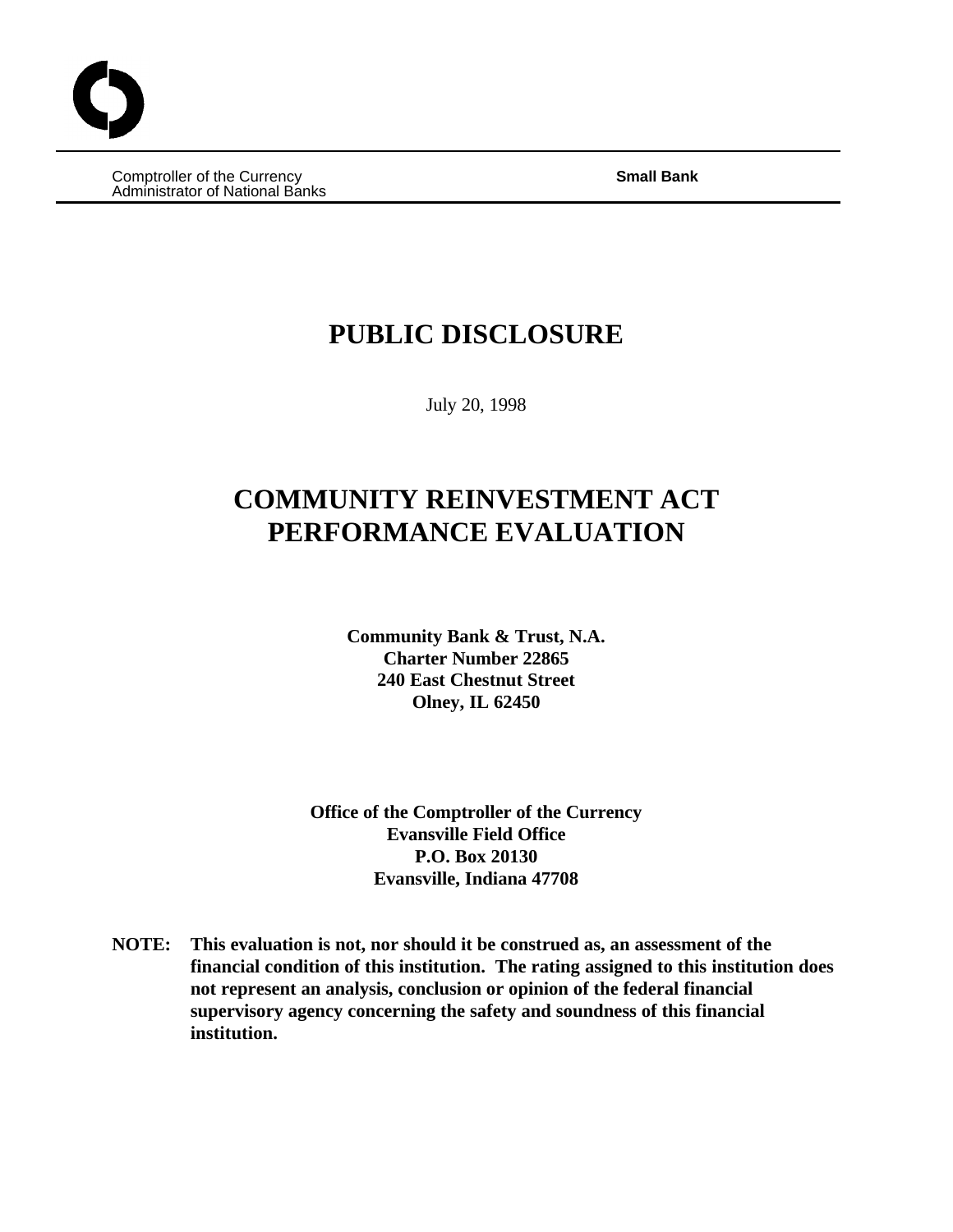Comptroller of the Currency **Small Bank** Administrator of National Banks

# **PUBLIC DISCLOSURE**

July 20, 1998

# **COMMUNITY REINVESTMENT ACT PERFORMANCE EVALUATION**

**Community Bank & Trust, N.A. Charter Number 22865 240 East Chestnut Street Olney, IL 62450**

**Office of the Comptroller of the Currency Evansville Field Office P.O. Box 20130 Evansville, Indiana 47708**

**NOTE: This evaluation is not, nor should it be construed as, an assessment of the financial condition of this institution. The rating assigned to this institution does not represent an analysis, conclusion or opinion of the federal financial supervisory agency concerning the safety and soundness of this financial institution.**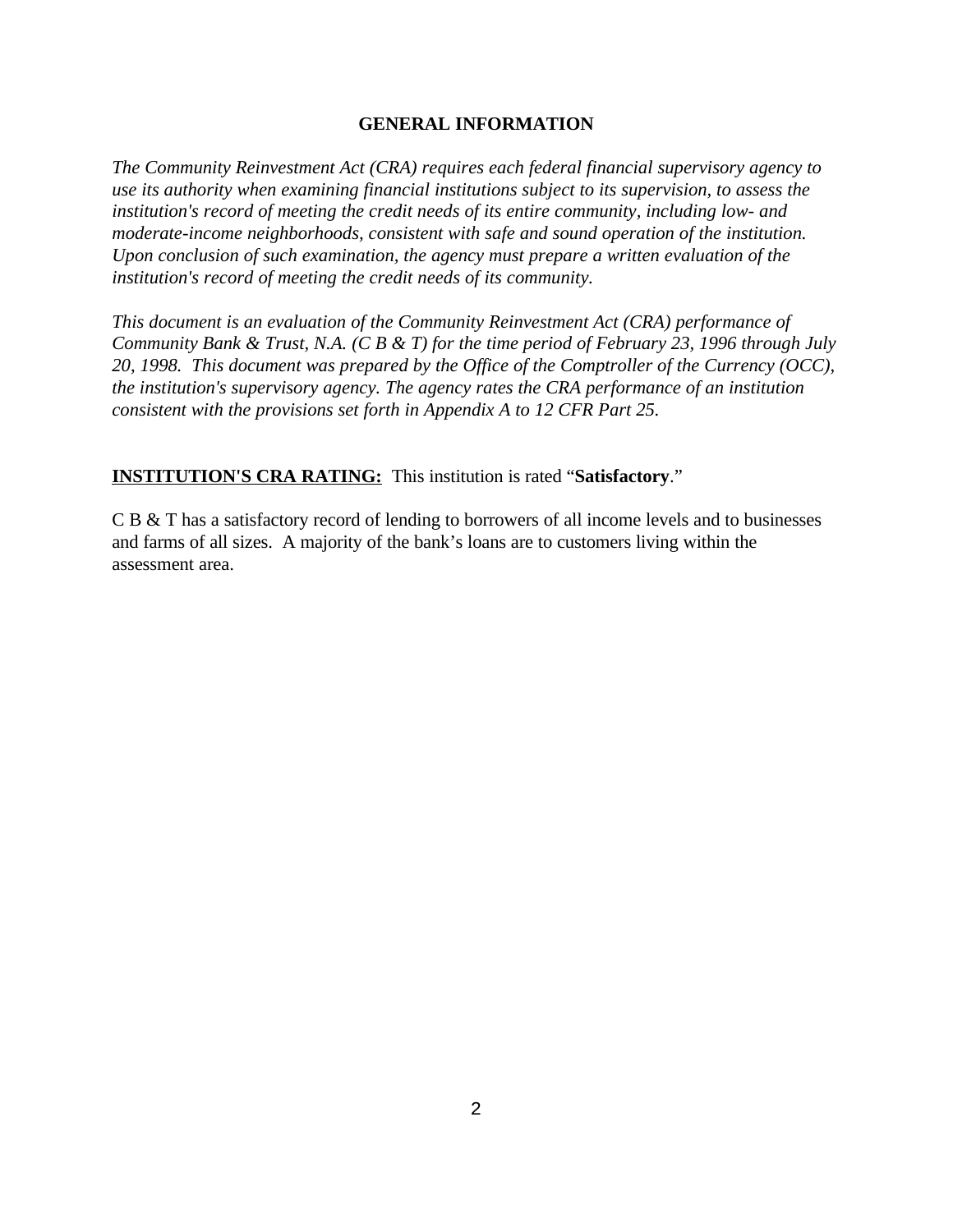#### **GENERAL INFORMATION**

*The Community Reinvestment Act (CRA) requires each federal financial supervisory agency to use its authority when examining financial institutions subject to its supervision, to assess the institution's record of meeting the credit needs of its entire community, including low- and moderate-income neighborhoods, consistent with safe and sound operation of the institution. Upon conclusion of such examination, the agency must prepare a written evaluation of the institution's record of meeting the credit needs of its community.* 

*This document is an evaluation of the Community Reinvestment Act (CRA) performance of Community Bank & Trust, N.A. (C B & T) for the time period of February 23, 1996 through July 20, 1998. This document was prepared by the Office of the Comptroller of the Currency (OCC), the institution's supervisory agency. The agency rates the CRA performance of an institution consistent with the provisions set forth in Appendix A to 12 CFR Part 25.* 

**INSTITUTION'S CRA RATING:** This institution is rated "**Satisfactory**."

C B & T has a satisfactory record of lending to borrowers of all income levels and to businesses and farms of all sizes. A majority of the bank's loans are to customers living within the assessment area.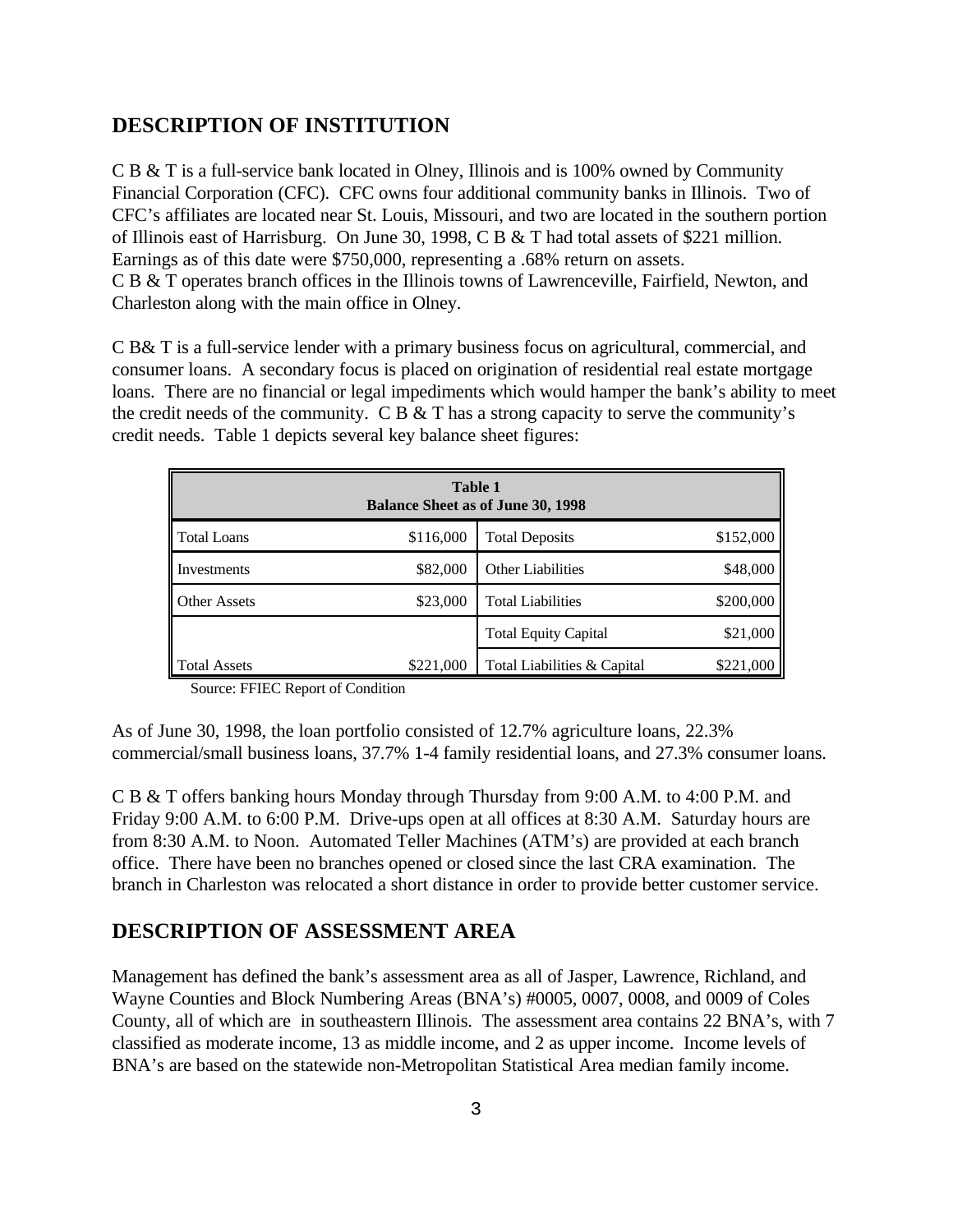### **DESCRIPTION OF INSTITUTION**

C B & T is a full-service bank located in Olney, Illinois and is 100% owned by Community Financial Corporation (CFC). CFC owns four additional community banks in Illinois. Two of CFC's affiliates are located near St. Louis, Missouri, and two are located in the southern portion of Illinois east of Harrisburg. On June 30, 1998, C B & T had total assets of \$221 million. Earnings as of this date were \$750,000, representing a .68% return on assets. C B & T operates branch offices in the Illinois towns of Lawrenceville, Fairfield, Newton, and Charleston along with the main office in Olney.

C B& T is a full-service lender with a primary business focus on agricultural, commercial, and consumer loans. A secondary focus is placed on origination of residential real estate mortgage loans. There are no financial or legal impediments which would hamper the bank's ability to meet the credit needs of the community. C B  $&$  T has a strong capacity to serve the community's credit needs. Table 1 depicts several key balance sheet figures:

| <b>Table 1</b><br><b>Balance Sheet as of June 30, 1998</b> |           |                             |           |  |  |
|------------------------------------------------------------|-----------|-----------------------------|-----------|--|--|
| <b>Total Loans</b>                                         | \$116,000 | <b>Total Deposits</b>       | \$152,000 |  |  |
| Investments                                                | \$82,000  | Other Liabilities           | \$48,000  |  |  |
| <b>Other Assets</b>                                        | \$23,000  | <b>Total Liabilities</b>    | \$200,000 |  |  |
|                                                            |           | <b>Total Equity Capital</b> | \$21,000  |  |  |
| <b>Total Assets</b>                                        | \$221,000 | Total Liabilities & Capital | \$221,000 |  |  |

Source: FFIEC Report of Condition

As of June 30, 1998, the loan portfolio consisted of 12.7% agriculture loans, 22.3% commercial/small business loans, 37.7% 1-4 family residential loans, and 27.3% consumer loans.

C B & T offers banking hours Monday through Thursday from 9:00 A.M. to 4:00 P.M. and Friday 9:00 A.M. to 6:00 P.M. Drive-ups open at all offices at 8:30 A.M. Saturday hours are from 8:30 A.M. to Noon. Automated Teller Machines (ATM's) are provided at each branch office. There have been no branches opened or closed since the last CRA examination. The branch in Charleston was relocated a short distance in order to provide better customer service.

### **DESCRIPTION OF ASSESSMENT AREA**

Management has defined the bank's assessment area as all of Jasper, Lawrence, Richland, and Wayne Counties and Block Numbering Areas (BNA's) #0005, 0007, 0008, and 0009 of Coles County, all of which are in southeastern Illinois. The assessment area contains 22 BNA's, with 7 classified as moderate income, 13 as middle income, and 2 as upper income. Income levels of BNA's are based on the statewide non-Metropolitan Statistical Area median family income.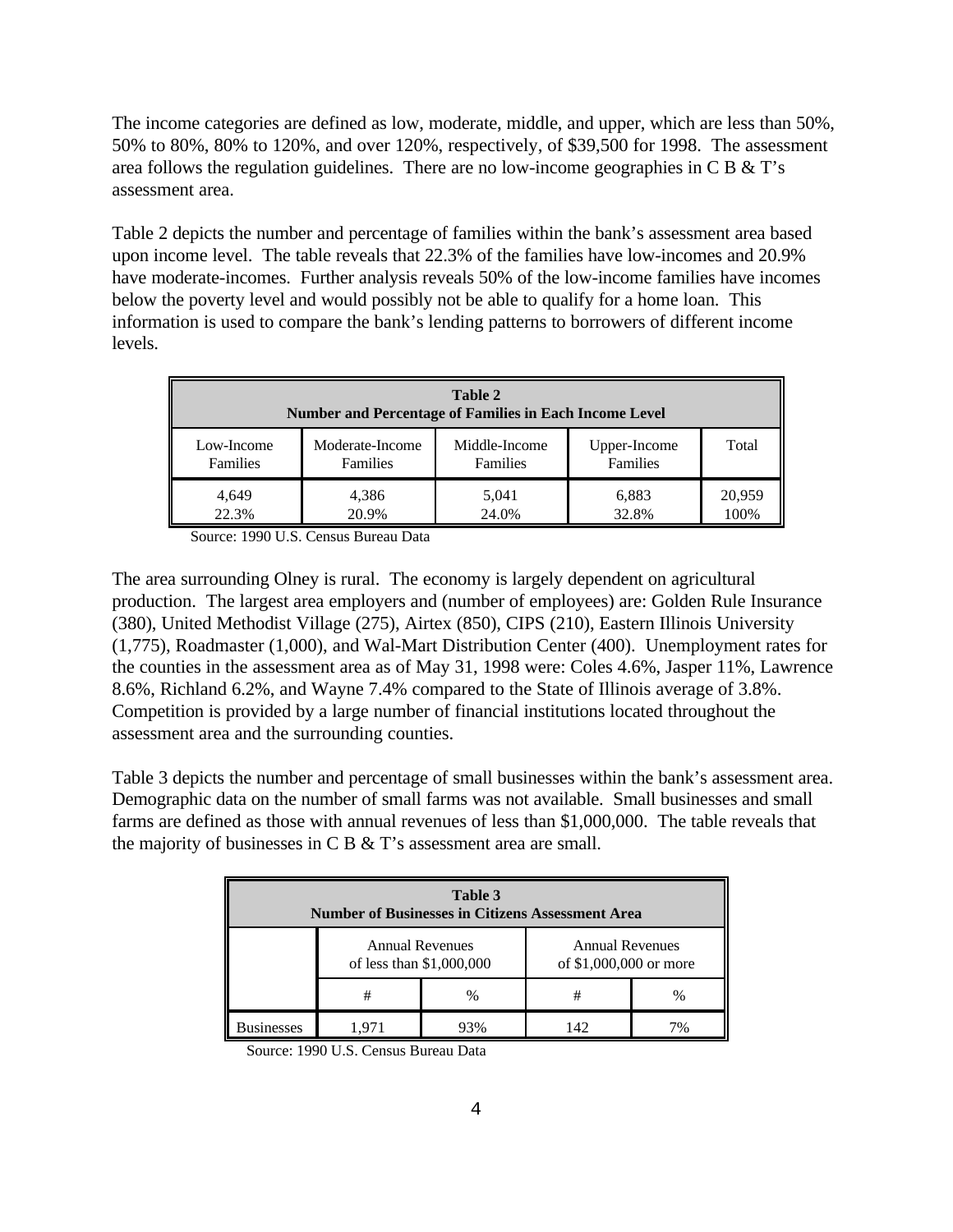The income categories are defined as low, moderate, middle, and upper, which are less than 50%, 50% to 80%, 80% to 120%, and over 120%, respectively, of \$39,500 for 1998. The assessment area follows the regulation guidelines. There are no low-income geographies in C B & T's assessment area.

Table 2 depicts the number and percentage of families within the bank's assessment area based upon income level. The table reveals that 22.3% of the families have low-incomes and 20.9% have moderate-incomes. Further analysis reveals 50% of the low-income families have incomes below the poverty level and would possibly not be able to qualify for a home loan. This information is used to compare the bank's lending patterns to borrowers of different income levels.

| Table 2<br><b>Number and Percentage of Families in Each Income Level</b>                                                              |                |                |                |                |  |
|---------------------------------------------------------------------------------------------------------------------------------------|----------------|----------------|----------------|----------------|--|
| Moderate-Income<br>Middle-Income<br>Upper-Income<br>Total<br>Low-Income<br>Families<br><b>Families</b><br><b>Families</b><br>Families |                |                |                |                |  |
| 4,649<br>22.3%                                                                                                                        | 4,386<br>20.9% | 5,041<br>24.0% | 6,883<br>32.8% | 20,959<br>100% |  |

Source: 1990 U.S. Census Bureau Data

The area surrounding Olney is rural. The economy is largely dependent on agricultural production. The largest area employers and (number of employees) are: Golden Rule Insurance (380), United Methodist Village (275), Airtex (850), CIPS (210), Eastern Illinois University (1,775), Roadmaster (1,000), and Wal-Mart Distribution Center (400). Unemployment rates for the counties in the assessment area as of May 31, 1998 were: Coles 4.6%, Jasper 11%, Lawrence 8.6%, Richland 6.2%, and Wayne 7.4% compared to the State of Illinois average of 3.8%. Competition is provided by a large number of financial institutions located throughout the assessment area and the surrounding counties.

Table 3 depicts the number and percentage of small businesses within the bank's assessment area. Demographic data on the number of small farms was not available. Small businesses and small farms are defined as those with annual revenues of less than \$1,000,000. The table reveals that the majority of businesses in C B & T's assessment area are small.

| Table 3<br><b>Number of Businesses in Citizens Assessment Area</b> |                                                    |      |                                                  |      |  |
|--------------------------------------------------------------------|----------------------------------------------------|------|--------------------------------------------------|------|--|
|                                                                    | <b>Annual Revenues</b><br>of less than \$1,000,000 |      | <b>Annual Revenues</b><br>of \$1,000,000 or more |      |  |
|                                                                    |                                                    | $\%$ | #                                                | $\%$ |  |
| isinesses                                                          |                                                    |      | 142                                              |      |  |

Source: 1990 U.S. Census Bureau Data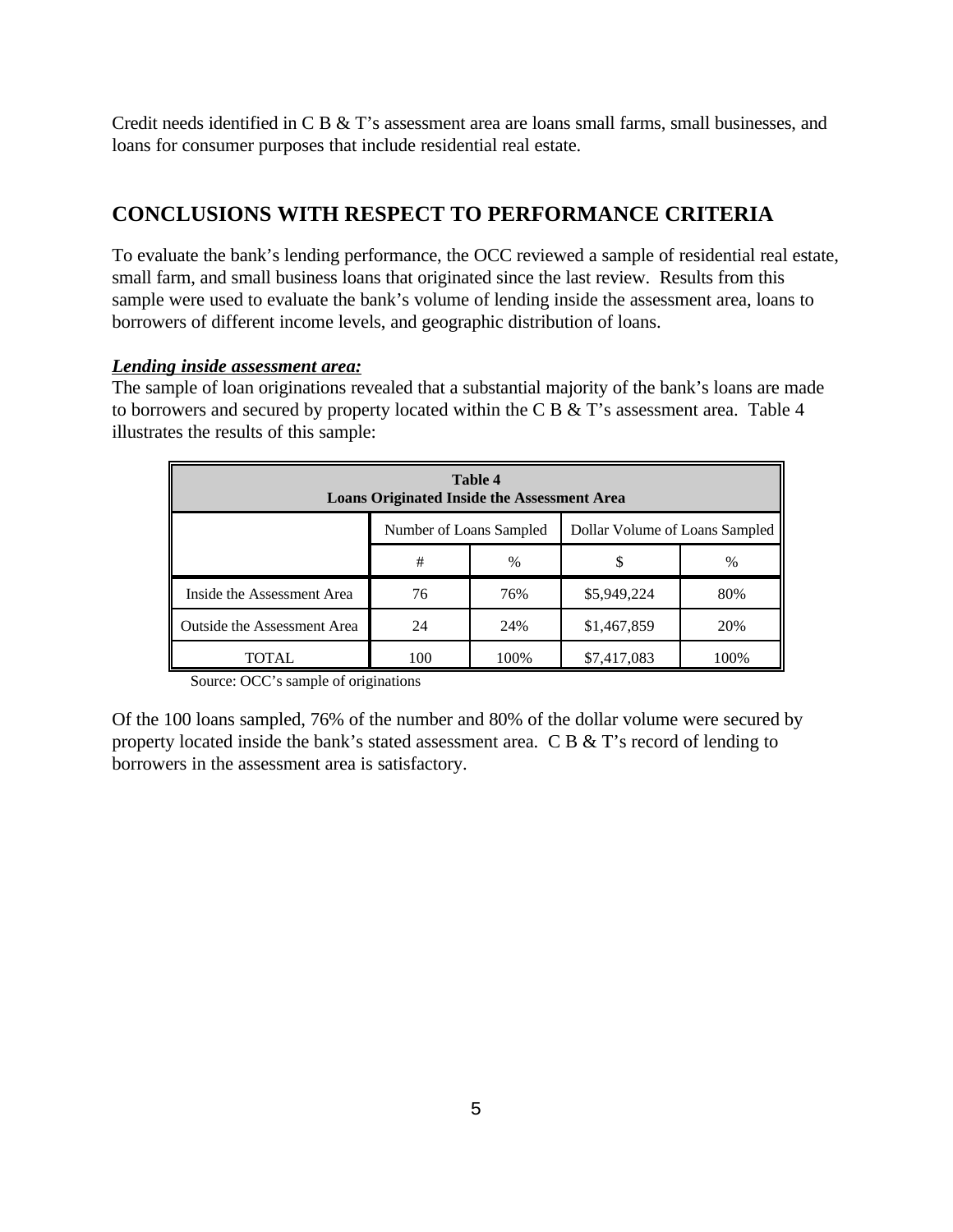Credit needs identified in C B & T's assessment area are loans small farms, small businesses, and loans for consumer purposes that include residential real estate.

## **CONCLUSIONS WITH RESPECT TO PERFORMANCE CRITERIA**

To evaluate the bank's lending performance, the OCC reviewed a sample of residential real estate, small farm, and small business loans that originated since the last review. Results from this sample were used to evaluate the bank's volume of lending inside the assessment area, loans to borrowers of different income levels, and geographic distribution of loans.

#### *Lending inside assessment area:*

The sample of loan originations revealed that a substantial majority of the bank's loans are made to borrowers and secured by property located within the C B & T's assessment area. Table 4 illustrates the results of this sample:

| Table 4<br><b>Loans Originated Inside the Assessment Area</b> |                         |               |                                |      |  |
|---------------------------------------------------------------|-------------------------|---------------|--------------------------------|------|--|
|                                                               | Number of Loans Sampled |               | Dollar Volume of Loans Sampled |      |  |
|                                                               | #                       | $\frac{0}{0}$ | \$                             | $\%$ |  |
| Inside the Assessment Area                                    | 76                      | 76%           | \$5,949,224                    | 80%  |  |
| Outside the Assessment Area                                   | 24                      | 24%           | \$1,467,859                    | 20%  |  |
| TOTAL                                                         | 100                     | 100%          | \$7,417,083                    | 100% |  |

Source: OCC's sample of originations

Of the 100 loans sampled, 76% of the number and 80% of the dollar volume were secured by property located inside the bank's stated assessment area. C B & T's record of lending to borrowers in the assessment area is satisfactory.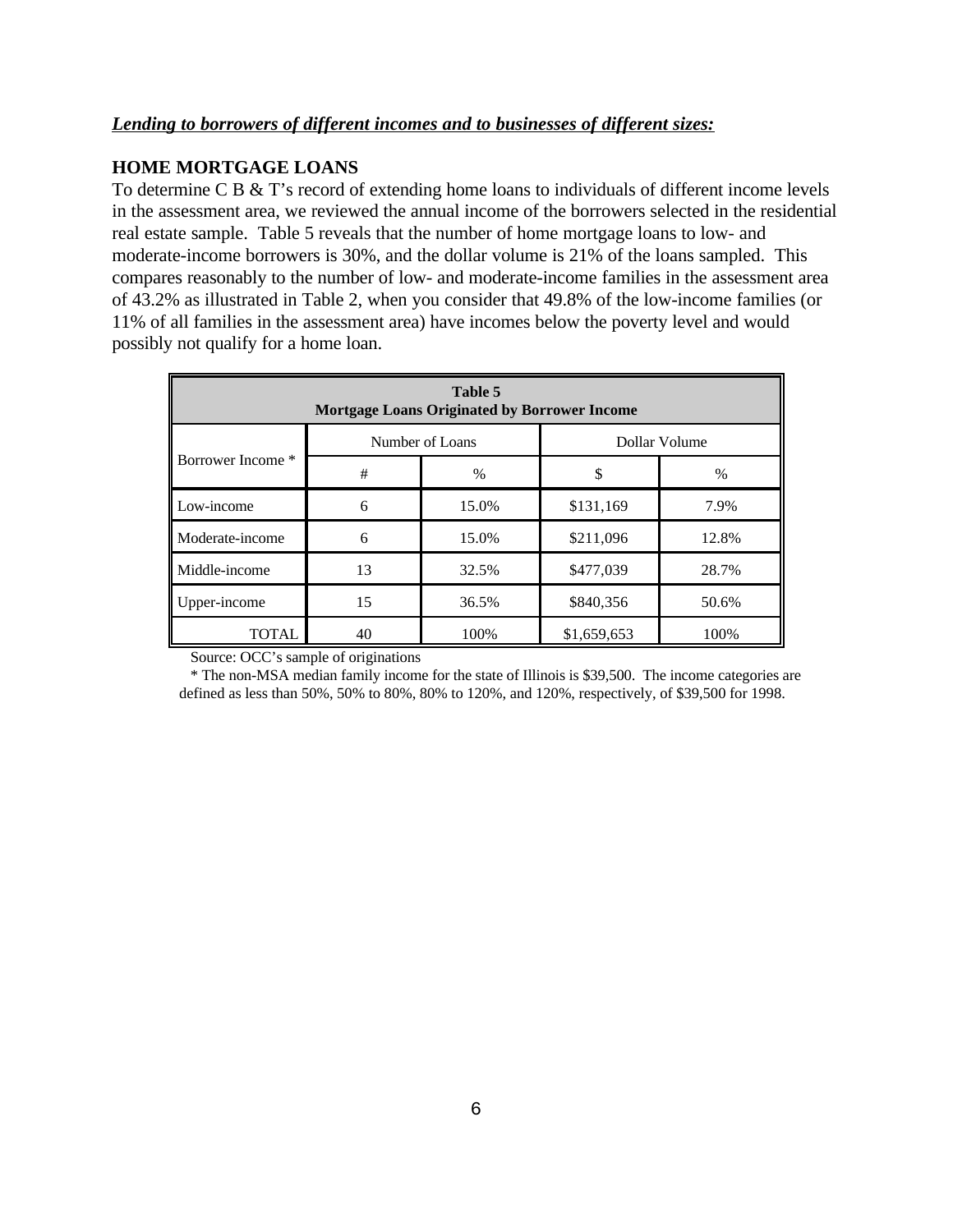#### *Lending to borrowers of different incomes and to businesses of different sizes:*

#### **HOME MORTGAGE LOANS**

To determine C B & T's record of extending home loans to individuals of different income levels in the assessment area, we reviewed the annual income of the borrowers selected in the residential real estate sample. Table 5 reveals that the number of home mortgage loans to low- and moderate-income borrowers is 30%, and the dollar volume is 21% of the loans sampled. This compares reasonably to the number of low- and moderate-income families in the assessment area of 43.2% as illustrated in Table 2, when you consider that 49.8% of the low-income families (or 11% of all families in the assessment area) have incomes below the poverty level and would possibly not qualify for a home loan.

| Table 5<br><b>Mortgage Loans Originated by Borrower Income</b> |    |       |             |       |  |  |
|----------------------------------------------------------------|----|-------|-------------|-------|--|--|
| Number of Loans<br>Dollar Volume                               |    |       |             |       |  |  |
| Borrower Income *                                              | #  | $\%$  | \$          | %     |  |  |
| Low-income                                                     | 6  | 15.0% | \$131,169   | 7.9%  |  |  |
| Moderate-income                                                | 6  | 15.0% | \$211,096   | 12.8% |  |  |
| Middle-income                                                  | 13 | 32.5% | \$477,039   | 28.7% |  |  |
| Upper-income                                                   | 15 | 36.5% | \$840,356   | 50.6% |  |  |
| <b>TOTAL</b>                                                   | 40 | 100%  | \$1,659,653 | 100%  |  |  |

Source: OCC's sample of originations

\* The non-MSA median family income for the state of Illinois is \$39,500. The income categories are defined as less than 50%, 50% to 80%, 80% to 120%, and 120%, respectively, of \$39,500 for 1998.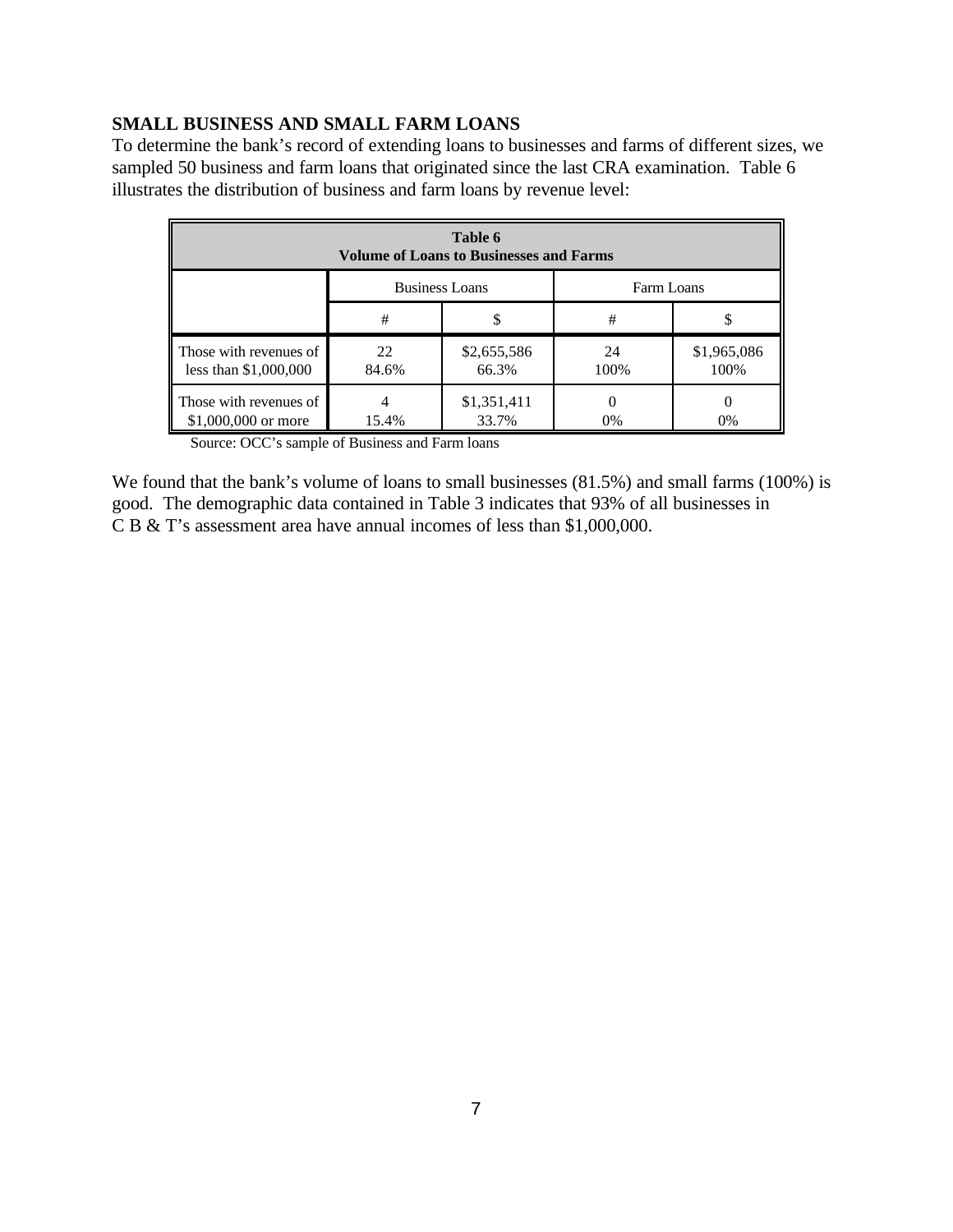#### **SMALL BUSINESS AND SMALL FARM LOANS**

To determine the bank's record of extending loans to businesses and farms of different sizes, we sampled 50 business and farm loans that originated since the last CRA examination. Table 6 illustrates the distribution of business and farm loans by revenue level:

| Table 6<br><b>Volume of Loans to Businesses and Farms</b> |                                     |                      |            |                     |  |
|-----------------------------------------------------------|-------------------------------------|----------------------|------------|---------------------|--|
|                                                           | <b>Business Loans</b><br>Farm Loans |                      |            |                     |  |
|                                                           | #<br>J)                             |                      | #          | S                   |  |
| Those with revenues of<br>less than $$1,000,000$          | 22<br>84.6%                         | \$2,655,586<br>66.3% | 24<br>100% | \$1,965,086<br>100% |  |
| Those with revenues of<br>\$1,000,000 or more             | 15.4%                               | \$1,351,411<br>33.7% | 0%         | $\theta$<br>0%      |  |

Source: OCC's sample of Business and Farm loans

We found that the bank's volume of loans to small businesses  $(81.5%)$  and small farms  $(100%)$  is good. The demographic data contained in Table 3 indicates that 93% of all businesses in C B & T's assessment area have annual incomes of less than \$1,000,000.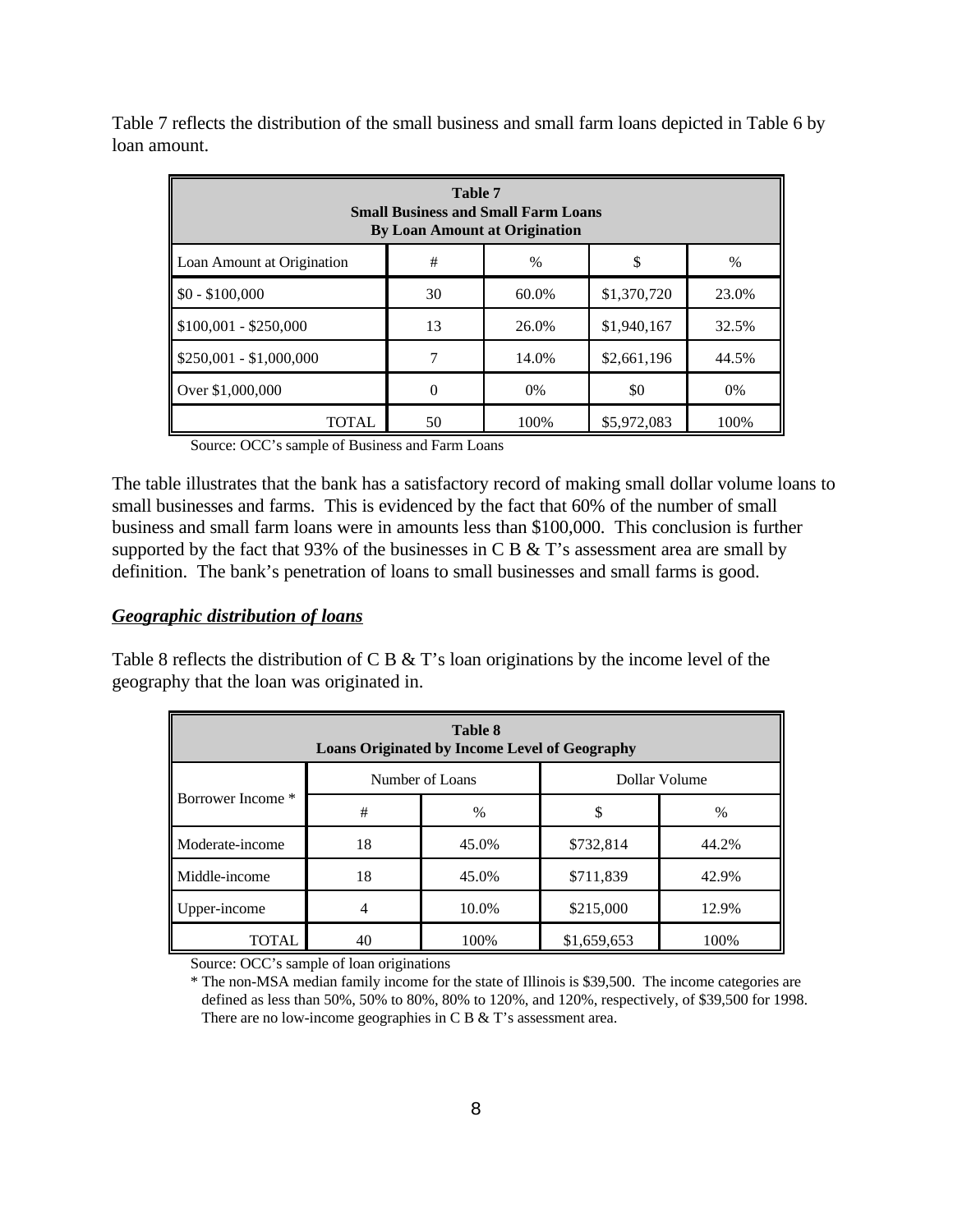Table 7 reflects the distribution of the small business and small farm loans depicted in Table 6 by loan amount.

| <b>Table 7</b><br><b>Small Business and Small Farm Loans</b><br><b>By Loan Amount at Origination</b> |          |       |             |       |  |  |  |
|------------------------------------------------------------------------------------------------------|----------|-------|-------------|-------|--|--|--|
| #<br>$\%$<br>Loan Amount at Origination<br>\$<br>$\%$                                                |          |       |             |       |  |  |  |
| $$0 - $100,000$                                                                                      | 30       | 60.0% | \$1,370,720 | 23.0% |  |  |  |
| $$100,001 - $250,000$                                                                                | 13       | 26.0% | \$1,940,167 | 32.5% |  |  |  |
| $$250,001 - $1,000,000$<br>14.0%<br>\$2,661,196<br>7<br>44.5%                                        |          |       |             |       |  |  |  |
| Over \$1,000,000                                                                                     | $\theta$ | 0%    | \$0         | 0%    |  |  |  |
| \$5,972,083<br>TOTAL<br>50<br>100%<br>100%                                                           |          |       |             |       |  |  |  |

Source: OCC's sample of Business and Farm Loans

The table illustrates that the bank has a satisfactory record of making small dollar volume loans to small businesses and farms. This is evidenced by the fact that 60% of the number of small business and small farm loans were in amounts less than \$100,000. This conclusion is further supported by the fact that 93% of the businesses in C B  $&$  T's assessment area are small by definition. The bank's penetration of loans to small businesses and small farms is good.

#### *Geographic distribution of loans*

Table 8 reflects the distribution of C B & T's loan originations by the income level of the geography that the loan was originated in.

| Table 8<br><b>Loans Originated by Income Level of Geography</b> |                                  |       |             |               |  |  |  |
|-----------------------------------------------------------------|----------------------------------|-------|-------------|---------------|--|--|--|
|                                                                 | Dollar Volume<br>Number of Loans |       |             |               |  |  |  |
| Borrower Income *                                               | #                                | $\%$  | \$          | $\frac{0}{0}$ |  |  |  |
| Moderate-income                                                 | 18                               | 45.0% | \$732,814   | 44.2%         |  |  |  |
| Middle-income                                                   | 18                               | 45.0% | \$711,839   | 42.9%         |  |  |  |
| Upper-income                                                    |                                  | 10.0% | \$215,000   | 12.9%         |  |  |  |
| TOTAL                                                           | 40                               | 100%  | \$1,659,653 | 100%          |  |  |  |

Source: OCC's sample of loan originations

\* The non-MSA median family income for the state of Illinois is \$39,500. The income categories are defined as less than 50%, 50% to 80%, 80% to 120%, and 120%, respectively, of \$39,500 for 1998. There are no low-income geographies in C B & T's assessment area.